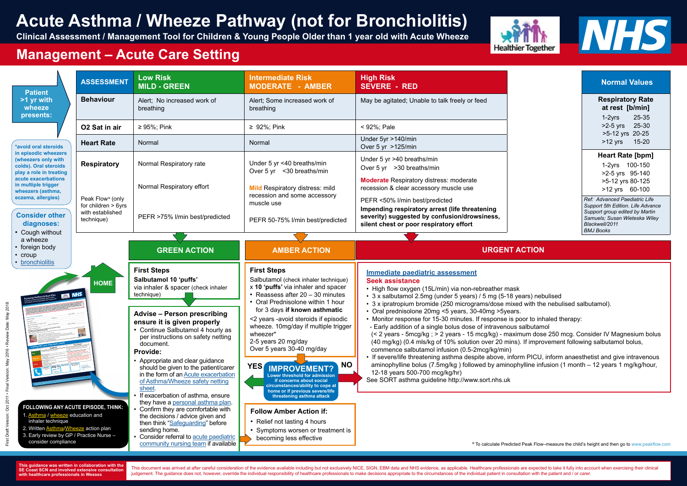| <b>Patient</b><br>>1 yr with<br>wheeze<br>presents:<br>*avoid oral steroids<br>in episodic wheezers<br>(wheezers only with<br>colds). Oral steroids<br>play a role in treating<br>acute exacerbations<br>in multiple trigger<br>wheezers (asthma,<br>eczema, allergies)<br><b>Consider other</b><br>diagnoses:<br>• Cough without<br>a wheeze<br>• foreign body<br>$\cdot$ croup | <b>ASSESSMENT</b>                                                                       | <b>Low Risk</b><br><b>MILD - GREEN</b>                                                                                                                                                                                                                                                                                                                   | <b>Intermediate Risk</b><br><b>MODERATE - AMBER</b>                                                                                                                                                                                                                                                                                                                                                                                                                                                                                                                                                                                                                                                                                                                                                                                                                                                                              | <b>High Risk</b><br><b>SEVERE - RED</b>                                                                                                                                                                                                    |
|----------------------------------------------------------------------------------------------------------------------------------------------------------------------------------------------------------------------------------------------------------------------------------------------------------------------------------------------------------------------------------|-----------------------------------------------------------------------------------------|----------------------------------------------------------------------------------------------------------------------------------------------------------------------------------------------------------------------------------------------------------------------------------------------------------------------------------------------------------|----------------------------------------------------------------------------------------------------------------------------------------------------------------------------------------------------------------------------------------------------------------------------------------------------------------------------------------------------------------------------------------------------------------------------------------------------------------------------------------------------------------------------------------------------------------------------------------------------------------------------------------------------------------------------------------------------------------------------------------------------------------------------------------------------------------------------------------------------------------------------------------------------------------------------------|--------------------------------------------------------------------------------------------------------------------------------------------------------------------------------------------------------------------------------------------|
|                                                                                                                                                                                                                                                                                                                                                                                  | <b>Behaviour</b>                                                                        | Alert; No increased work of<br>breathing                                                                                                                                                                                                                                                                                                                 | Alert; Some increased work of<br>breathing                                                                                                                                                                                                                                                                                                                                                                                                                                                                                                                                                                                                                                                                                                                                                                                                                                                                                       | May be agitated; Unable to talk freely or feed                                                                                                                                                                                             |
|                                                                                                                                                                                                                                                                                                                                                                                  | O2 Sat in air                                                                           | $\geq$ 95%; Pink                                                                                                                                                                                                                                                                                                                                         | $\geq 92\%$ ; Pink                                                                                                                                                                                                                                                                                                                                                                                                                                                                                                                                                                                                                                                                                                                                                                                                                                                                                                               | < 92%; Pale                                                                                                                                                                                                                                |
|                                                                                                                                                                                                                                                                                                                                                                                  | <b>Heart Rate</b>                                                                       | Normal                                                                                                                                                                                                                                                                                                                                                   | Normal                                                                                                                                                                                                                                                                                                                                                                                                                                                                                                                                                                                                                                                                                                                                                                                                                                                                                                                           | Under 5yr >140/min<br>Over 5 yr >125/min                                                                                                                                                                                                   |
|                                                                                                                                                                                                                                                                                                                                                                                  | <b>Respiratory</b>                                                                      | Normal Respiratory rate                                                                                                                                                                                                                                                                                                                                  | Under 5 yr <40 breaths/min<br>Over 5 yr < 30 breaths/min                                                                                                                                                                                                                                                                                                                                                                                                                                                                                                                                                                                                                                                                                                                                                                                                                                                                         | Under 5 yr >40 breaths/min<br>Over 5 yr > 30 breaths/min                                                                                                                                                                                   |
|                                                                                                                                                                                                                                                                                                                                                                                  | Peak Flow <sup>o</sup> (only<br>for children $> 6yrs$<br>with established<br>technique) | Normal Respiratory effort                                                                                                                                                                                                                                                                                                                                | <b>Mild Respiratory distress: mild</b><br>recession and some accessory                                                                                                                                                                                                                                                                                                                                                                                                                                                                                                                                                                                                                                                                                                                                                                                                                                                           | <b>Moderate</b> Respiratory distress: moderate<br>recession & clear accessory muscle use<br>PEFR <50% I/min best/predicted                                                                                                                 |
|                                                                                                                                                                                                                                                                                                                                                                                  |                                                                                         | PEFR >75% I/min best/predicted                                                                                                                                                                                                                                                                                                                           | muscle use<br>PEFR 50-75% I/min best/predicted                                                                                                                                                                                                                                                                                                                                                                                                                                                                                                                                                                                                                                                                                                                                                                                                                                                                                   | Impending respiratory arrest (life threatening<br>severity) suggested by confusion/drowsiness,<br>silent chest or poor respiratory effort                                                                                                  |
|                                                                                                                                                                                                                                                                                                                                                                                  |                                                                                         |                                                                                                                                                                                                                                                                                                                                                          |                                                                                                                                                                                                                                                                                                                                                                                                                                                                                                                                                                                                                                                                                                                                                                                                                                                                                                                                  |                                                                                                                                                                                                                                            |
|                                                                                                                                                                                                                                                                                                                                                                                  |                                                                                         | <b>GREEN ACTION</b>                                                                                                                                                                                                                                                                                                                                      | <b>AMBER ACTION</b>                                                                                                                                                                                                                                                                                                                                                                                                                                                                                                                                                                                                                                                                                                                                                                                                                                                                                                              | <b>URGENT A</b>                                                                                                                                                                                                                            |
| • bronchiolitis<br><b>ELL NHS</b>                                                                                                                                                                                                                                                                                                                                                | <b>HOME</b>                                                                             | <b>First Steps</b><br>Salbutamol 10 'puffs'<br>via inhaler & spacer (check inhaler<br>technique)                                                                                                                                                                                                                                                         | <b>First Steps</b><br>Salbutamol (check inhaler technique)<br>x 10 'puffs' via inhaler and spacer<br>• Reassess after 20 - 30 minutes<br>• Oral Prednisolone within 1 hour                                                                                                                                                                                                                                                                                                                                                                                                                                                                                                                                                                                                                                                                                                                                                       | <b>Immediate paediatric assessment</b><br><b>Seek assistance</b><br>• High flow oxygen (15L/min) via non-rebreather mask<br>• 3 x salbutamol 2.5mg (under 5 years) / 5 mg (5-18 ye<br>• 3 x ipratropium bromide (250 micrograms/dose mixed |
|                                                                                                                                                                                                                                                                                                                                                                                  |                                                                                         | <b>Advise - Person prescribing</b><br>ensure it is given properly<br>Continue Salbutamol 4 hourly as<br>$\bullet$<br>per instructions on safety netting<br>document.<br>Provide:<br>• Appropriate and clear guidance<br>should be given to the patient/carer<br>in the form of an <b>Acute exacerbation</b><br>of Asthma/Wheeze safety netting<br>sheet. | for 3 days if known asthmatic<br>• Oral prednisolone 20mg <5 years, 30-40mg >5years.<br><2 years -avoid steroids if episodic<br>• Monitor response for 15-30 minutes. If response is po<br>wheeze. 10mg/day if multiple trigger<br>- Early addition of a single bolus dose of intravenous s<br>wheezer*<br>$(< 2$ years - 5mcg/kg ; $> 2$ years - 15 mcg/kg) - maxim<br>2-5 years 20 mg/day<br>(40 mg/kg) (0.4 mls/kg of 10% solution over 20 mins)<br>Over 5 years 30-40 mg/day<br>commence salbutamol infusion (0.5-2mcg/kg/min)<br>• If severe/life threatening asthma despite above, infor<br>aminophylline bolus (7.5mg/kg) followed by aminoph<br><b>NO</b><br><b>YES</b><br><b>IMPROVEMENT?</b><br>12-18 years 500-700 mcg/kg/hr)<br>Lower threshold for admission<br>See SORT asthma guideline http://www.sort.nhs.uk<br>if concerns about social<br>circumstances/ability to cope at<br>home or if previous severe/life |                                                                                                                                                                                                                                            |
| FOLLOWING ANY ACUTE EPISODE, THINK:<br>1. Asthma / wheeze education and<br>inhaler technique<br>2. Written <b>Asthma/Wheeze</b> action plan<br>3. Early review by GP / Practice Nurse -<br>consider compliance                                                                                                                                                                   |                                                                                         | If exacerbation of asthma, ensure<br>they have a personal asthma plan.<br>Confirm they are comfortable with<br>the decisions / advice given and<br>then think "Safeguarding" before<br>sending home.<br>Consider referral to acute paediatric<br>community nursing team if available                                                                     | threatening asthma attack<br><b>Follow Amber Action if:</b><br>Relief not lasting 4 hours<br>Symptoms worsen or treatment is<br>becoming less effective                                                                                                                                                                                                                                                                                                                                                                                                                                                                                                                                                                                                                                                                                                                                                                          | <sup>o</sup> To calculate Predicted                                                                                                                                                                                                        |

#### **Normal Values Respiratory Rate at rest [b/min]** 1-2yrs 25-35 >2-5 yrs 25-30 >5-12 yrs 20-25 >12 yrs 15-20 **Heart Rate [bpm]** 1-2yrs 100-150 >2-5 yrs 95-140 >5-12 yrs 80-125 >12 yrs 60-100 *Ref: Advanced Paediatric Life Support 5th Edition. Life Advance Support group edited by Martin Samuels; Susan Wieteska Wiley Blackwell/2011 BMJ Books*

### **ACTION**

- 
- vears) nebulised
- ed with the nebulised salbutamol).
- 
- poor to inhaled therapy:
- salbutamol
- imum dose 250 mcg. Consider IV Magnesium bolus s). If improvement following salbutamol bolus,

orm PICU, inform anaesthetist and give intravenous bhylline infusion (1 month – 12 years 1 mg/kg/hour,

ed Peak Flow–measure the child's height and then go to www.peakflow.com

**This guidance was written in collaboration with the SE Coast SCN and involved extensive consultation with healthcare professionals in Wessex**

This document was arrived at after careful consideration of the evidence available including but not exclusively NICE, SIGN, EBM data and NHS evidence, as applicable. Healthcare professionals are expected to take it fully judgement. The guidance does not, however, override the individual responsibility of healthcare professionals to make decisions appropriate to the circumstances of the individual patient in consultation with the patient an



# **Acute Asthma / Wheeze Pathway (not for Bronchiolitis)**

**Clinical Assessment / Management Tool for Children & Young People Older than 1 year old with Acute Wheeze**



### **Management – Acute Care Setting**